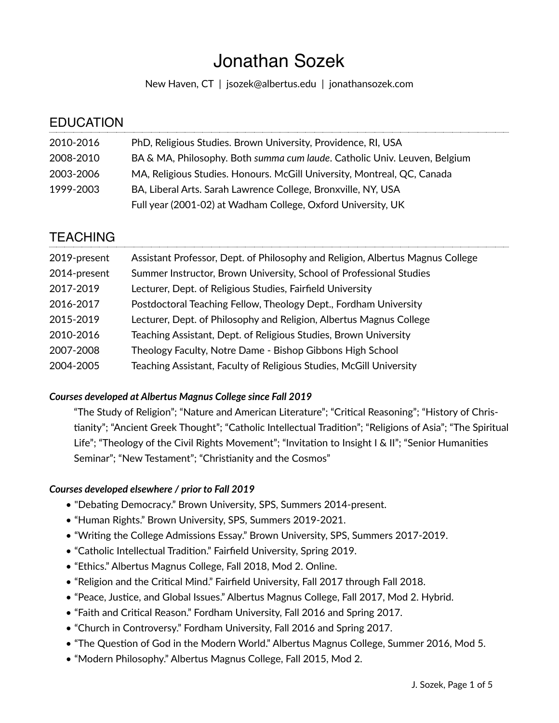# Jonathan Sozek

New Haven, CT | [jsozek@albertus.edu](mailto:jsozek@albertus.edu) | [jonathansozek.com](http://jonathansozek.com)

| <b>EDUCATION</b> |                                                                           |
|------------------|---------------------------------------------------------------------------|
| 2010-2016        | PhD, Religious Studies. Brown University, Providence, RI, USA             |
| 2008-2010        | BA & MA, Philosophy. Both summa cum laude. Catholic Univ. Leuven, Belgium |
| 2003-2006        | MA, Religious Studies. Honours. McGill University, Montreal, QC, Canada   |
| 1999-2003        | BA, Liberal Arts. Sarah Lawrence College, Bronxville, NY, USA             |
|                  | Full year (2001-02) at Wadham College, Oxford University, UK              |
|                  |                                                                           |

# **TFACHING**

| 2019-present | Assistant Professor, Dept. of Philosophy and Religion, Albertus Magnus College |
|--------------|--------------------------------------------------------------------------------|
| 2014-present | Summer Instructor, Brown University, School of Professional Studies            |
| 2017-2019    | Lecturer, Dept. of Religious Studies, Fairfield University                     |
| 2016-2017    | Postdoctoral Teaching Fellow, Theology Dept., Fordham University               |
| 2015-2019    | Lecturer, Dept. of Philosophy and Religion, Albertus Magnus College            |
| 2010-2016    | Teaching Assistant, Dept. of Religious Studies, Brown University               |
| 2007-2008    | Theology Faculty, Notre Dame - Bishop Gibbons High School                      |
| 2004-2005    | Teaching Assistant, Faculty of Religious Studies, McGill University            |
|              |                                                                                |

# *Courses developed at Albertus Magnus College since Fall 2019*

"The Study of Religion"; "Nature and American Literature"; "Critical Reasoning"; "History of Christianity"; "Ancient Greek Thought"; "Catholic Intellectual Tradition"; "Religions of Asia"; "The Spiritual Life"; "Theology of the Civil Rights Movement"; "Invitation to Insight I & II"; "Senior Humanities Seminar"; "New Testament"; "Christianity and the Cosmos"

## *Courses developed elsewhere / prior to Fall 2019*

- "Debating Democracy." Brown University, SPS, Summers 2014-present.
- "Human Rights." Brown University, SPS, Summers 2019-2021.
- "Writing the College Admissions Essay." Brown University, SPS, Summers 2017-2019.
- "Catholic Intellectual Tradition." Fairfield University, Spring 2019.
- "Ethics." Albertus Magnus College, Fall 2018, Mod 2. Online.
- "Religion and the Critical Mind." Fairfield University, Fall 2017 through Fall 2018.
- "Peace, Justice, and Global Issues." Albertus Magnus College, Fall 2017, Mod 2. Hybrid.
- "Faith and Critical Reason." Fordham University, Fall 2016 and Spring 2017.
- "Church in Controversy." Fordham University, Fall 2016 and Spring 2017.
- "The Question of God in the Modern World." Albertus Magnus College, Summer 2016, Mod 5.
- "Modern Philosophy." Albertus Magnus College, Fall 2015, Mod 2.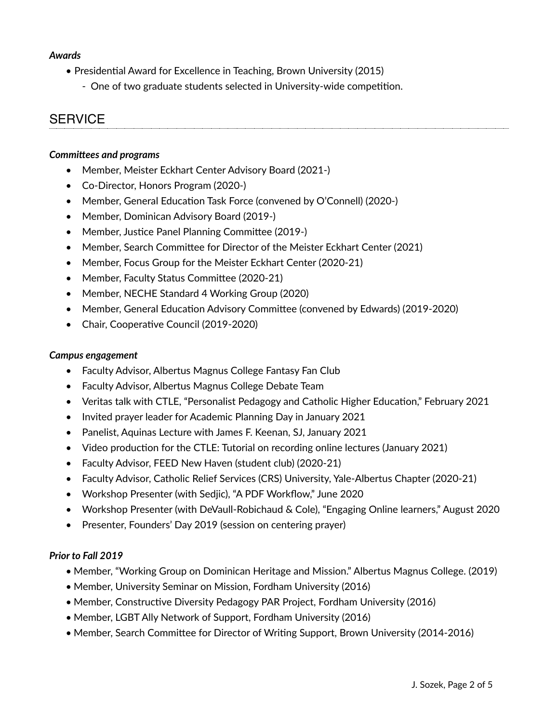#### *Awards*

- Presidential Award for Excellence in Teaching, Brown University (2015)
	- One of two graduate students selected in University-wide competition.

# **SERVICE**

#### *Committees and programs*

- Member, Meister Eckhart Center Advisory Board (2021-)
- Co-Director, Honors Program (2020-)
- Member, General Education Task Force (convened by O'Connell) (2020-)
- Member, Dominican Advisory Board (2019-)
- Member, Justice Panel Planning Committee (2019-)
- Member, Search Committee for Director of the Meister Eckhart Center (2021)
- Member, Focus Group for the Meister Eckhart Center (2020-21)
- Member, Faculty Status Committee (2020-21)
- Member, NECHE Standard 4 Working Group (2020)
- Member, General Education Advisory Committee (convened by Edwards) (2019-2020)
- Chair, Cooperative Council (2019-2020)

#### *Campus engagement*

- Faculty Advisor, Albertus Magnus College Fantasy Fan Club
- Faculty Advisor, Albertus Magnus College Debate Team
- Veritas talk with CTLE, "Personalist Pedagogy and Catholic Higher Education," February 2021
- Invited prayer leader for Academic Planning Day in January 2021
- Panelist, Aquinas Lecture with James F. Keenan, SJ, January 2021
- Video production for the CTLE: Tutorial on recording online lectures (January 2021)
- Faculty Advisor, FEED New Haven (student club) (2020-21)
- Faculty Advisor, Catholic Relief Services (CRS) University, Yale-Albertus Chapter (2020-21)
- Workshop Presenter (with Sedjic), "A PDF Workflow," June 2020
- Workshop Presenter (with DeVaull-Robichaud & Cole), "Engaging Online learners," August 2020
- Presenter, Founders' Day 2019 (session on centering prayer)

#### *Prior to Fall 2019*

- Member, "Working Group on Dominican Heritage and Mission." Albertus Magnus College. (2019)
- Member, University Seminar on Mission, Fordham University (2016)
- Member, Constructive Diversity Pedagogy PAR Project, Fordham University (2016)
- Member, LGBT Ally Network of Support, Fordham University (2016)
- Member, Search Committee for Director of Writing Support, Brown University (2014-2016)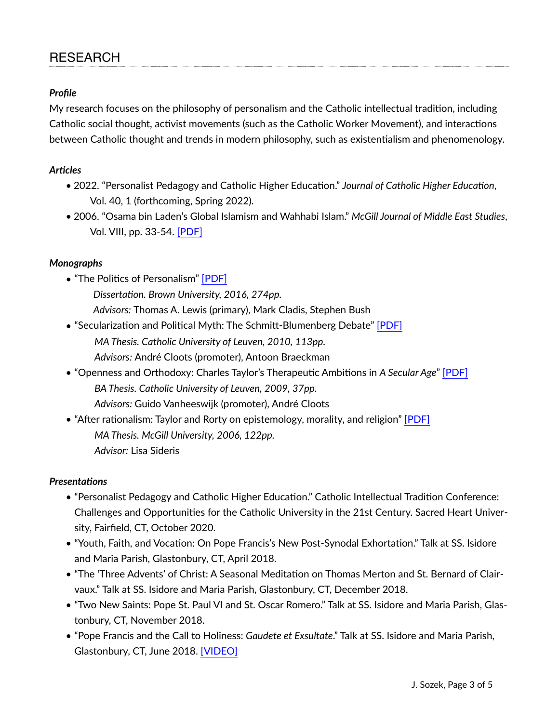# *Profile*

My research focuses on the philosophy of personalism and the Catholic intellectual tradition, including Catholic social thought, activist movements (such as the Catholic Worker Movement), and interactions between Catholic thought and trends in modern philosophy, such as existentialism and phenomenology.

## *Articles*

- 2022. "Personalist Pedagogy and Catholic Higher Education." *Journal of Catholic Higher Education*, Vol. 40, 1 (forthcoming, Spring 2022).
- 2006. "Osama bin Laden's Global Islamism and Wahhabi Islam." *McGill Journal of Middle East Studies*, Vol. VIII, pp. 33-54. [\[PDF\]](https://www.mcgill.ca/mes/files/mes/MJMESSozek.pdf)

## *Monographs*

- "The Politics of Personalism" [\[PDF\]](https://repository.library.brown.edu/studio/item/bdr:674278/PDF/)
	- *Dissertation. Brown University, 2016, 274pp.*
	- *Advisors:* Thomas A. Lewis (primary), Mark Cladis, Stephen Bush
- "Secularization and Political Myth: The Schmitt-Blumenberg Debate" [\[PDF\]](http://jonathansozek.com/wp-content/uploads/2019/03/Sozek_Leuven_MA.pdf) *MA Thesis. Catholic University of Leuven, 2010, 113pp. Advisors:* André Cloots (promoter), Antoon Braeckman
- "Openness and Orthodoxy: Charles Taylor's Therapeutic Ambitions in *A Secular Age*" [\[PDF\]](http://jonathansozek.com/wp-content/uploads/2019/03/Sozek_BA_Thesis.pdf) *BA Thesis. Catholic University of Leuven, 2009, 37pp. Advisors:* Guido Vanheeswijk (promoter), André Cloots
- "After rationalism: Taylor and Rorty on epistemology, morality, and religion" [\[PDF\]](http://digitool.library.mcgill.ca/webclient/DeliveryManager?pid=99393&custom_att_2=direct) *MA Thesis. McGill University, 2006, 122pp. Advisor:* Lisa Sideris

## *Presentations*

- "Personalist Pedagogy and Catholic Higher Education." Catholic Intellectual Tradition Conference: Challenges and Opportunities for the Catholic University in the 21st Century. Sacred Heart University, Fairfield, CT, October 2020.
- "Youth, Faith, and Vocation: On Pope Francis's New Post-Synodal Exhortation." Talk at SS. Isidore and Maria Parish, Glastonbury, CT, April 2018.
- "The 'Three Advents' of Christ: A Seasonal Meditation on Thomas Merton and St. Bernard of Clairvaux." Talk at SS. Isidore and Maria Parish, Glastonbury, CT, December 2018.
- "Two New Saints: Pope St. Paul VI and St. Oscar Romero." Talk at SS. Isidore and Maria Parish, Glastonbury, CT, November 2018.
- "Pope Francis and the Call to Holiness: *Gaudete et Exsultate*." Talk at SS. Isidore and Maria Parish, Glastonbury, CT, June 2018. [\[VIDEO\]](https://www.youtube.com/watch?v=Tb8XiPXV5rE)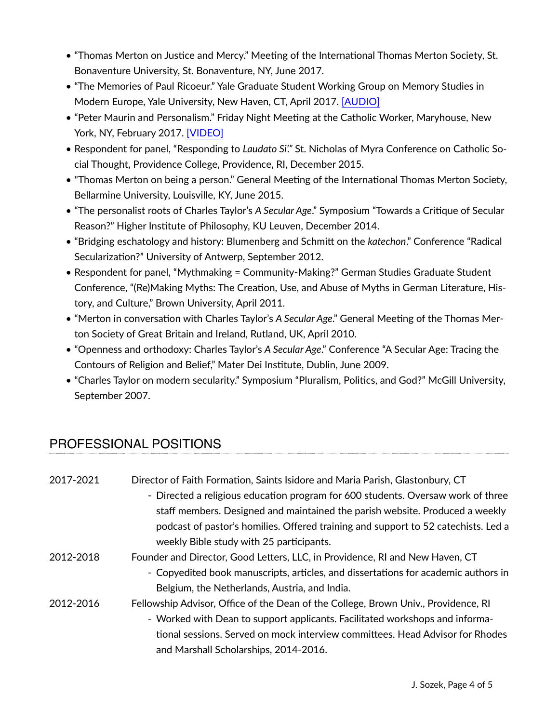- "Thomas Merton on Justice and Mercy." Meeting of the International Thomas Merton Society, St. Bonaventure University, St. Bonaventure, NY, June 2017.
- "The Memories of Paul Ricoeur." Yale Graduate Student Working Group on Memory Studies in Modern Europe, Yale University, New Haven, CT, April 2017. [\[AUDIO\]](http://jonathansozek.com/wp-content/uploads/2019/03/170328_Yale_talk.mp3)
- "Peter Maurin and Personalism." Friday Night Meeting at the Catholic Worker, Maryhouse, New York, NY, February 2017. [\[VIDEO\]](https://www.youtube.com/watch?v=cGuWPNd3WLc)
- Respondent for panel, "Responding to *Laudato Si'."* St. Nicholas of Myra Conference on Catholic Social Thought, Providence College, Providence, RI, December 2015.
- "Thomas Merton on being a person." General Meeting of the International Thomas Merton Society, Bellarmine University, Louisville, KY, June 2015.
- "The personalist roots of Charles Taylor's *A Secular Age*." Symposium "Towards a Critique of Secular Reason?" Higher Institute of Philosophy, KU Leuven, December 2014.
- "Bridging eschatology and history: Blumenberg and Schmitt on the *katechon*." Conference "Radical Secularization?" University of Antwerp, September 2012.
- Respondent for panel, "Mythmaking = Community-Making?" German Studies Graduate Student Conference, "(Re)Making Myths: The Creation, Use, and Abuse of Myths in German Literature, History, and Culture," Brown University, April 2011.
- "Merton in conversation with Charles Taylor's *A Secular Age*." General Meeting of the Thomas Merton Society of Great Britain and Ireland, Rutland, UK, April 2010.
- "Openness and orthodoxy: Charles Taylor's *A Secular Age*." Conference "A Secular Age: Tracing the Contours of Religion and Belief," Mater Dei Institute, Dublin, June 2009.
- "Charles Taylor on modern secularity." Symposium "Pluralism, Politics, and God?" McGill University, September 2007.

# PROFESSIONAL POSITIONS

| 2017-2021 | Director of Faith Formation, Saints Isidore and Maria Parish, Glastonbury, CT      |
|-----------|------------------------------------------------------------------------------------|
|           | - Directed a religious education program for 600 students. Oversaw work of three   |
|           | staff members. Designed and maintained the parish website. Produced a weekly       |
|           | podcast of pastor's homilies. Offered training and support to 52 catechists. Led a |
|           | weekly Bible study with 25 participants.                                           |
| 2012-2018 | Founder and Director, Good Letters, LLC, in Providence, RI and New Haven, CT       |
|           | - Copyedited book manuscripts, articles, and dissertations for academic authors in |
|           | Belgium, the Netherlands, Austria, and India.                                      |
| 2012-2016 | Fellowship Advisor, Office of the Dean of the College, Brown Univ., Providence, RI |
|           | - Worked with Dean to support applicants. Facilitated workshops and informa-       |
|           | tional sessions. Served on mock interview committees. Head Advisor for Rhodes      |
|           | and Marshall Scholarships, 2014-2016.                                              |
|           |                                                                                    |